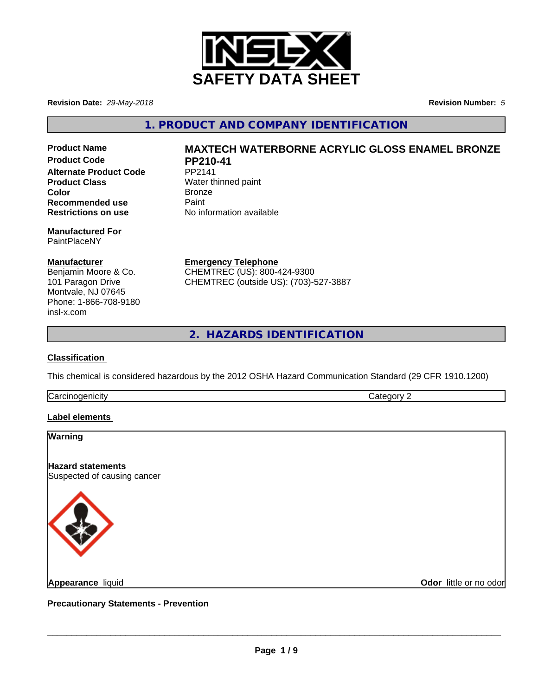

**Revision Date:** *29-May-2018* **Revision Number:** *5*

**1. PRODUCT AND COMPANY IDENTIFICATION**

**Product Code PP210-41 Alternate Product Code** PP2141 **Product Class** Water thinned paint **Color** Bronze **Recommended use** Paint<br> **Restrictions on use** No inf

# **Manufactured For** PaintPlaceNY

### **Manufacturer**

Benjamin Moore & Co. 101 Paragon Drive Montvale, NJ 07645 Phone: 1-866-708-9180 insl-x.com

# **Product Name MAXTECH WATERBORNE ACRYLIC GLOSS ENAMEL BRONZE**

**Restrictions on use** No information available

**Emergency Telephone** CHEMTREC (US): 800-424-9300 CHEMTREC (outside US): (703)-527-3887

**2. HAZARDS IDENTIFICATION**

# **Classification**

This chemical is considered hazardous by the 2012 OSHA Hazard Communication Standard (29 CFR 1910.1200)

**Carcinogenicity** Category 2

# **Label elements**

# **Warning**

**Hazard statements** Suspected of causing cancer



**Appearance** liquid

**Odor** little or no odor

**Precautionary Statements - Prevention**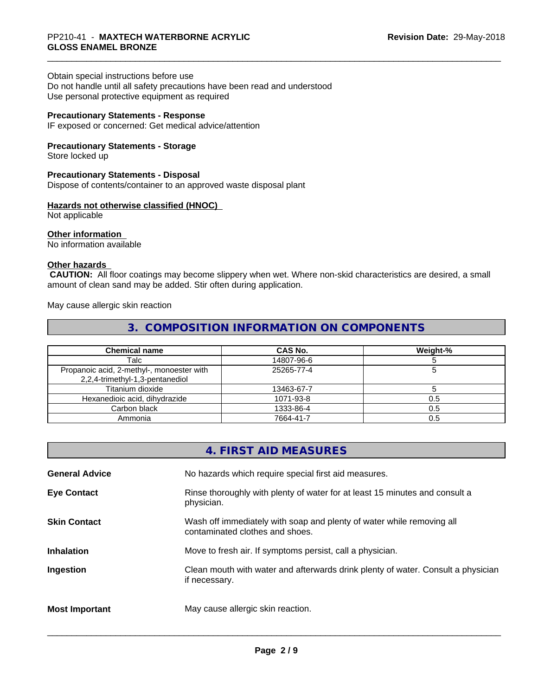#### Obtain special instructions before use

Do not handle until all safety precautions have been read and understood Use personal protective equipment as required

# **Precautionary Statements - Response**

IF exposed or concerned: Get medical advice/attention

## **Precautionary Statements - Storage**

Store locked up

# **Precautionary Statements - Disposal**

Dispose of contents/container to an approved waste disposal plant

## **Hazards not otherwise classified (HNOC)**

Not applicable

#### **Other information**

No information available

# **Other hazards**

 **CAUTION:** All floor coatings may become slippery when wet. Where non-skid characteristics are desired, a small amount of clean sand may be added. Stir often during application.

May cause allergic skin reaction

# **3. COMPOSITION INFORMATION ON COMPONENTS**

| <b>Chemical name</b>                                                         | CAS No.    | Weight-% |
|------------------------------------------------------------------------------|------------|----------|
| Talc                                                                         | 14807-96-6 |          |
| Propanoic acid, 2-methyl-, monoester with<br>2,2,4-trimethyl-1,3-pentanediol | 25265-77-4 |          |
| Titanium dioxide                                                             | 13463-67-7 |          |
| Hexanedioic acid, dihydrazide                                                | 1071-93-8  | 0.5      |
| Carbon black                                                                 | 1333-86-4  | 0.5      |
| Ammonia                                                                      | 7664-41-7  | 0.5      |

|                       | 4. FIRST AID MEASURES                                                                                    |
|-----------------------|----------------------------------------------------------------------------------------------------------|
| <b>General Advice</b> | No hazards which require special first aid measures.                                                     |
| <b>Eye Contact</b>    | Rinse thoroughly with plenty of water for at least 15 minutes and consult a<br>physician.                |
| <b>Skin Contact</b>   | Wash off immediately with soap and plenty of water while removing all<br>contaminated clothes and shoes. |
| <b>Inhalation</b>     | Move to fresh air. If symptoms persist, call a physician.                                                |
| Ingestion             | Clean mouth with water and afterwards drink plenty of water. Consult a physician<br>if necessary.        |
| <b>Most Important</b> | May cause allergic skin reaction.                                                                        |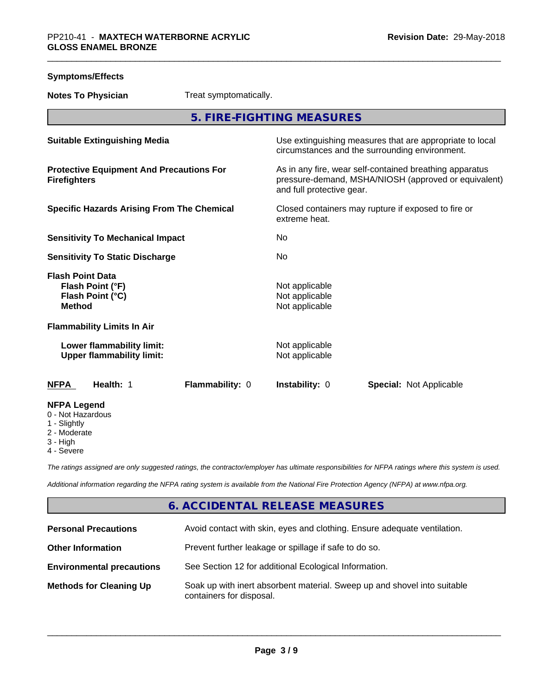| <b>Symptoms/Effects</b>                                                          |                        |                                                    |                                                                                                                 |
|----------------------------------------------------------------------------------|------------------------|----------------------------------------------------|-----------------------------------------------------------------------------------------------------------------|
| <b>Notes To Physician</b>                                                        | Treat symptomatically. |                                                    |                                                                                                                 |
|                                                                                  |                        | 5. FIRE-FIGHTING MEASURES                          |                                                                                                                 |
| <b>Suitable Extinguishing Media</b>                                              |                        |                                                    | Use extinguishing measures that are appropriate to local<br>circumstances and the surrounding environment.      |
| <b>Protective Equipment And Precautions For</b><br><b>Firefighters</b>           |                        | and full protective gear.                          | As in any fire, wear self-contained breathing apparatus<br>pressure-demand, MSHA/NIOSH (approved or equivalent) |
| <b>Specific Hazards Arising From The Chemical</b>                                |                        | extreme heat.                                      | Closed containers may rupture if exposed to fire or                                                             |
| <b>Sensitivity To Mechanical Impact</b>                                          |                        | No                                                 |                                                                                                                 |
| <b>Sensitivity To Static Discharge</b>                                           |                        | No                                                 |                                                                                                                 |
| <b>Flash Point Data</b><br>Flash Point (°F)<br>Flash Point (°C)<br><b>Method</b> |                        | Not applicable<br>Not applicable<br>Not applicable |                                                                                                                 |
| <b>Flammability Limits In Air</b>                                                |                        |                                                    |                                                                                                                 |
| Lower flammability limit:<br><b>Upper flammability limit:</b>                    |                        | Not applicable<br>Not applicable                   |                                                                                                                 |
| <b>NFPA</b><br>Health: 1                                                         | Flammability: 0        | <b>Instability: 0</b>                              | <b>Special: Not Applicable</b>                                                                                  |
| <b>NFPA Legend</b><br>0 - Not Hazardous<br>1 - Slightly<br>2 - Moderate          |                        |                                                    |                                                                                                                 |

- 3 High
- 4 Severe

*The ratings assigned are only suggested ratings, the contractor/employer has ultimate responsibilities for NFPA ratings where this system is used.*

*Additional information regarding the NFPA rating system is available from the National Fire Protection Agency (NFPA) at www.nfpa.org.*

# **6. ACCIDENTAL RELEASE MEASURES**

| <b>Personal Precautions</b>      | Avoid contact with skin, eyes and clothing. Ensure adequate ventilation.                             |
|----------------------------------|------------------------------------------------------------------------------------------------------|
| <b>Other Information</b>         | Prevent further leakage or spillage if safe to do so.                                                |
| <b>Environmental precautions</b> | See Section 12 for additional Ecological Information.                                                |
| <b>Methods for Cleaning Up</b>   | Soak up with inert absorbent material. Sweep up and shovel into suitable<br>containers for disposal. |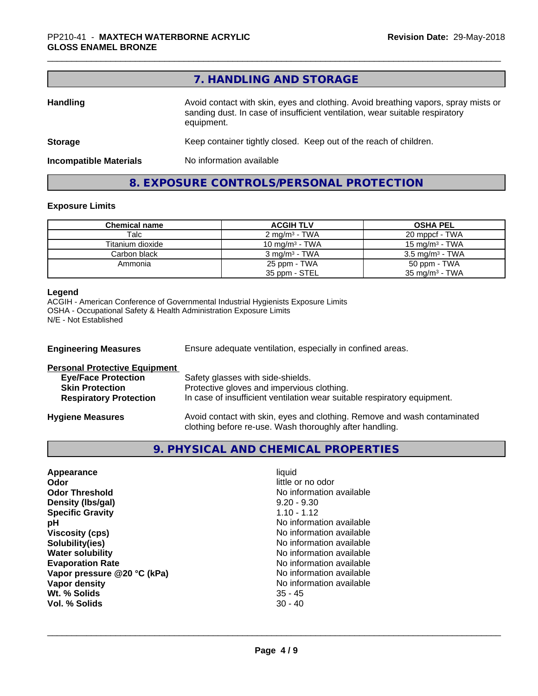|                               | 7. HANDLING AND STORAGE                                                                                                                                                          |
|-------------------------------|----------------------------------------------------------------------------------------------------------------------------------------------------------------------------------|
| <b>Handling</b>               | Avoid contact with skin, eyes and clothing. Avoid breathing vapors, spray mists or<br>sanding dust. In case of insufficient ventilation, wear suitable respiratory<br>equipment. |
| <b>Storage</b>                | Keep container tightly closed. Keep out of the reach of children.                                                                                                                |
| <b>Incompatible Materials</b> | No information available                                                                                                                                                         |
|                               | 8. EXPOSURE CONTROLS/PERSONAL PROTECTION                                                                                                                                         |

# **Exposure Limits**

| <b>Chemical name</b> | <b>ACGIH TLV</b>         | <b>OSHA PEL</b>            |
|----------------------|--------------------------|----------------------------|
| Talc                 | $2 \text{ mg/m}^3$ - TWA | 20 mppcf - TWA             |
| Titanium dioxide     | 10 mg/m $3$ - TWA        | $15 \text{ mg/m}^3$ - TWA  |
| Carbon black         | $3 \text{ mg/m}^3$ - TWA | $3.5 \text{ mg/m}^3$ - TWA |
| Ammonia              | 25 ppm - TWA             | 50 ppm - TWA               |
|                      | 35 ppm - STEL            | $35 \text{ mg/m}^3$ - TWA  |

#### **Legend**

ACGIH - American Conference of Governmental Industrial Hygienists Exposure Limits OSHA - Occupational Safety & Health Administration Exposure Limits N/E - Not Established

| Ensure adequate ventilation, especially in confined areas.<br><b>Engineering Measures</b> |                                                                                                                                     |  |
|-------------------------------------------------------------------------------------------|-------------------------------------------------------------------------------------------------------------------------------------|--|
| <b>Personal Protective Equipment</b>                                                      |                                                                                                                                     |  |
| <b>Eye/Face Protection</b>                                                                | Safety glasses with side-shields.                                                                                                   |  |
| <b>Skin Protection</b>                                                                    | Protective gloves and impervious clothing.                                                                                          |  |
| <b>Respiratory Protection</b>                                                             | In case of insufficient ventilation wear suitable respiratory equipment.                                                            |  |
| <b>Hygiene Measures</b>                                                                   | Avoid contact with skin, eyes and clothing. Remove and wash contaminated<br>clothing before re-use. Wash thoroughly after handling. |  |

# **9. PHYSICAL AND CHEMICAL PROPERTIES**

| Appearance                  | liquid                   |
|-----------------------------|--------------------------|
| Odor                        | little or no odor        |
| <b>Odor Threshold</b>       | No information available |
| Density (Ibs/gal)           | $9.20 - 9.30$            |
| <b>Specific Gravity</b>     | $1.10 - 1.12$            |
| рH                          | No information available |
| <b>Viscosity (cps)</b>      | No information available |
| Solubility(ies)             | No information available |
| <b>Water solubility</b>     | No information available |
| <b>Evaporation Rate</b>     | No information available |
| Vapor pressure @20 °C (kPa) | No information available |
| Vapor density               | No information available |
| Wt. % Solids                | $35 - 45$                |
| Vol. % Solids               | $30 - 40$                |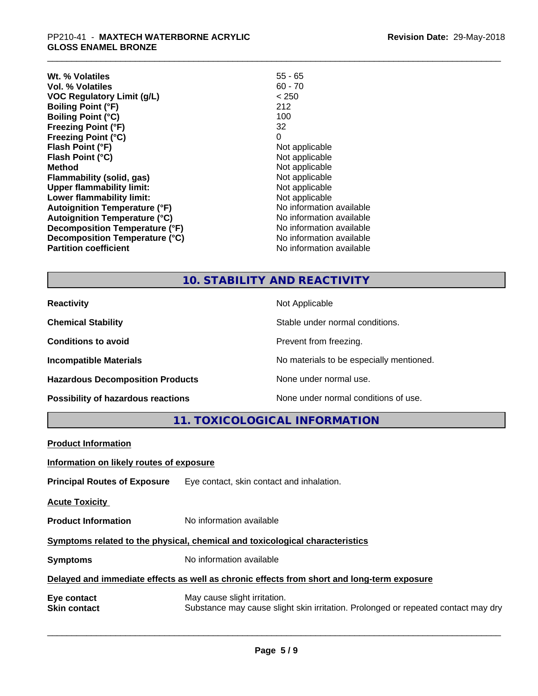| Wt. % Volatiles                      | $55 - 65$                |
|--------------------------------------|--------------------------|
| Vol. % Volatiles                     | $60 - 70$                |
| <b>VOC Regulatory Limit (g/L)</b>    | < 250                    |
| <b>Boiling Point (°F)</b>            | 212                      |
| <b>Boiling Point (°C)</b>            | 100                      |
| <b>Freezing Point (°F)</b>           | 32                       |
| <b>Freezing Point (°C)</b>           | 0                        |
| Flash Point (°F)                     | Not applicable           |
| Flash Point (°C)                     | Not applicable           |
| Method                               | Not applicable           |
| Flammability (solid, gas)            | Not applicable           |
| <b>Upper flammability limit:</b>     | Not applicable           |
| Lower flammability limit:            | Not applicable           |
| <b>Autoignition Temperature (°F)</b> | No information available |
| <b>Autoignition Temperature (°C)</b> | No information available |
| Decomposition Temperature (°F)       | No information available |
| Decomposition Temperature (°C)       | No information available |
| <b>Partition coefficient</b>         | No information available |

# **10. STABILITY AND REACTIVITY**

| <b>Reactivity</b>                       | Not Applicable                           |
|-----------------------------------------|------------------------------------------|
| <b>Chemical Stability</b>               | Stable under normal conditions.          |
| <b>Conditions to avoid</b>              | Prevent from freezing.                   |
| <b>Incompatible Materials</b>           | No materials to be especially mentioned. |
| <b>Hazardous Decomposition Products</b> | None under normal use.                   |
| Possibility of hazardous reactions      | None under normal conditions of use.     |

**11. TOXICOLOGICAL INFORMATION**

| <b>Product Information</b>                                                                 |                                                                                                                   |  |  |
|--------------------------------------------------------------------------------------------|-------------------------------------------------------------------------------------------------------------------|--|--|
| Information on likely routes of exposure                                                   |                                                                                                                   |  |  |
| <b>Principal Routes of Exposure</b>                                                        | Eye contact, skin contact and inhalation.                                                                         |  |  |
| <b>Acute Toxicity</b>                                                                      |                                                                                                                   |  |  |
| <b>Product Information</b>                                                                 | No information available                                                                                          |  |  |
| Symptoms related to the physical, chemical and toxicological characteristics               |                                                                                                                   |  |  |
| <b>Symptoms</b>                                                                            | No information available                                                                                          |  |  |
| Delayed and immediate effects as well as chronic effects from short and long-term exposure |                                                                                                                   |  |  |
| Eye contact<br><b>Skin contact</b>                                                         | May cause slight irritation.<br>Substance may cause slight skin irritation. Prolonged or repeated contact may dry |  |  |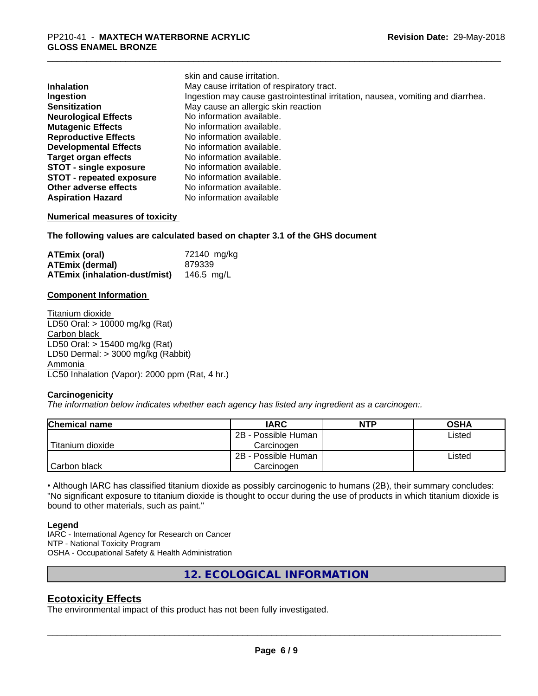| skin and cause irritation.                                                      |
|---------------------------------------------------------------------------------|
| May cause irritation of respiratory tract.                                      |
| Ingestion may cause gastrointestinal irritation, nausea, vomiting and diarrhea. |
| May cause an allergic skin reaction                                             |
| No information available.                                                       |
| No information available.                                                       |
| No information available.                                                       |
| No information available.                                                       |
| No information available.                                                       |
| No information available.                                                       |
| No information available.                                                       |
| No information available.                                                       |
| No information available                                                        |
|                                                                                 |

#### **Numerical measures of toxicity**

**The following values are calculated based on chapter 3.1 of the GHS document**

skin and cause irritation.

| ATEmix (oral)                 | 72140 mg/kg |
|-------------------------------|-------------|
| <b>ATEmix (dermal)</b>        | 879339      |
| ATEmix (inhalation-dust/mist) | 146.5 ma/L  |

#### **Component Information**

Titanium dioxide LD50 Oral: > 10000 mg/kg (Rat) Carbon black LD50 Oral: > 15400 mg/kg (Rat) LD50 Dermal: > 3000 mg/kg (Rabbit) Ammonia LC50 Inhalation (Vapor): 2000 ppm (Rat, 4 hr.)

#### **Carcinogenicity**

*The information below indicateswhether each agency has listed any ingredient as a carcinogen:.*

| <b>Chemical name</b> | <b>IARC</b>         | <b>NTP</b> | <b>OSHA</b> |
|----------------------|---------------------|------------|-------------|
|                      | 2B - Possible Human |            | Listed      |
| Titanium dioxide     | Carcinogen          |            |             |
|                      | 2B - Possible Human |            | Listed      |
| Carbon black         | Carcinogen          |            |             |

• Although IARC has classified titanium dioxide as possibly carcinogenic to humans (2B), their summary concludes: "No significant exposure to titanium dioxide is thought to occur during the use of products in which titanium dioxide is bound to other materials, such as paint."

#### **Legend**

IARC - International Agency for Research on Cancer NTP - National Toxicity Program OSHA - Occupational Safety & Health Administration

**12. ECOLOGICAL INFORMATION**

# **Ecotoxicity Effects**

The environmental impact of this product has not been fully investigated.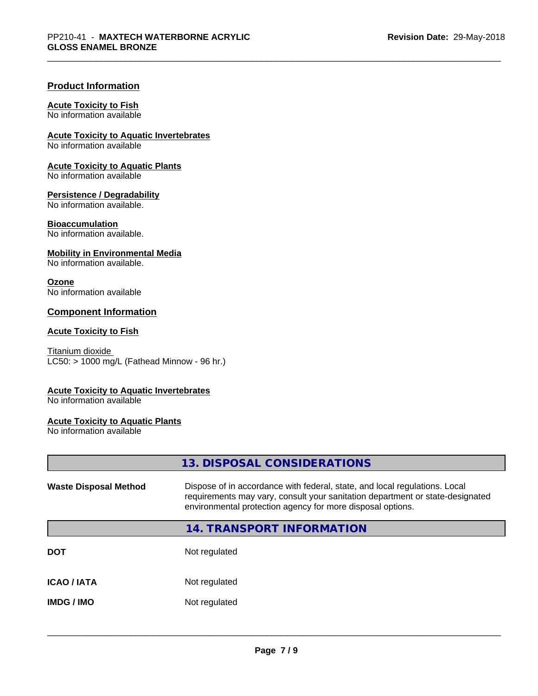# **Product Information**

# **Acute Toxicity to Fish**

No information available

**Acute Toxicity to Aquatic Invertebrates**

No information available

**Acute Toxicity to Aquatic Plants** No information available

# **Persistence / Degradability**

No information available.

### **Bioaccumulation**

No information available.

### **Mobility in Environmental Media**

No information available.

#### **Ozone**

No information available

# **Component Information**

#### **Acute Toxicity to Fish**

Titanium dioxide  $LC50:$  > 1000 mg/L (Fathead Minnow - 96 hr.)

# **Acute Toxicity to Aquatic Invertebrates**

No information available

# **Acute Toxicity to Aquatic Plants**

No information available

**13. DISPOSAL CONSIDERATIONS**

| <b>Waste Disposal Method</b> | Dispose of in accordance with federal, state, and local regulations. Local<br>requirements may vary, consult your sanitation department or state-designated<br>environmental protection agency for more disposal options. |
|------------------------------|---------------------------------------------------------------------------------------------------------------------------------------------------------------------------------------------------------------------------|
|                              | <b>14. TRANSPORT INFORMATION</b>                                                                                                                                                                                          |
| <b>DOT</b>                   | Not regulated                                                                                                                                                                                                             |
| <b>ICAO/IATA</b>             | Not regulated                                                                                                                                                                                                             |
| <b>IMDG/IMO</b>              | Not regulated                                                                                                                                                                                                             |
|                              |                                                                                                                                                                                                                           |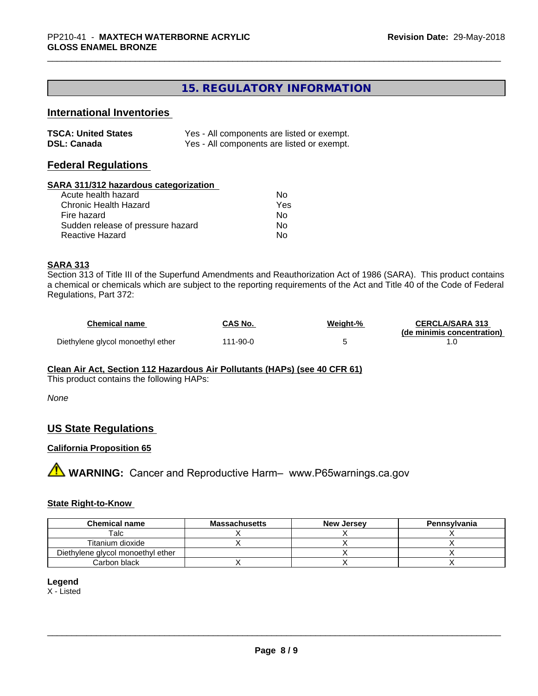# **15. REGULATORY INFORMATION**

# **International Inventories**

| <b>TSCA: United States</b> | Yes - All components are listed or exempt. |
|----------------------------|--------------------------------------------|
| <b>DSL: Canada</b>         | Yes - All components are listed or exempt. |

# **Federal Regulations**

#### **SARA 311/312 hazardous categorization**

| Acute health hazard               | N٥  |
|-----------------------------------|-----|
| Chronic Health Hazard             | Yes |
| Fire hazard                       | N٥  |
| Sudden release of pressure hazard | N٥  |
| Reactive Hazard                   | N٥  |

#### **SARA 313**

Section 313 of Title III of the Superfund Amendments and Reauthorization Act of 1986 (SARA). This product contains a chemical or chemicals which are subject to the reporting requirements of the Act and Title 40 of the Code of Federal Regulations, Part 372:

| <b>Chemical name</b>              | CAS No.  | Weiaht-% | <b>CERCLA/SARA 313</b>     |
|-----------------------------------|----------|----------|----------------------------|
|                                   |          |          | (de minimis concentration) |
| Diethylene glycol monoethyl ether | 111-90-0 |          |                            |

#### **Clean Air Act,Section 112 Hazardous Air Pollutants (HAPs) (see 40 CFR 61)**

This product contains the following HAPs:

*None*

### **US State Regulations**

#### **California Proposition 65**

**A** WARNING: Cancer and Reproductive Harm– www.P65warnings.ca.gov

#### **State Right-to-Know**

| <b>Chemical name</b>              | <b>Massachusetts</b> | <b>New Jersey</b> | Pennsylvania |
|-----------------------------------|----------------------|-------------------|--------------|
| Talc                              |                      |                   |              |
| Titanium dioxide                  |                      |                   |              |
| Diethylene glycol monoethyl ether |                      |                   |              |
| Carbon black                      |                      |                   |              |

#### **Legend**

X - Listed